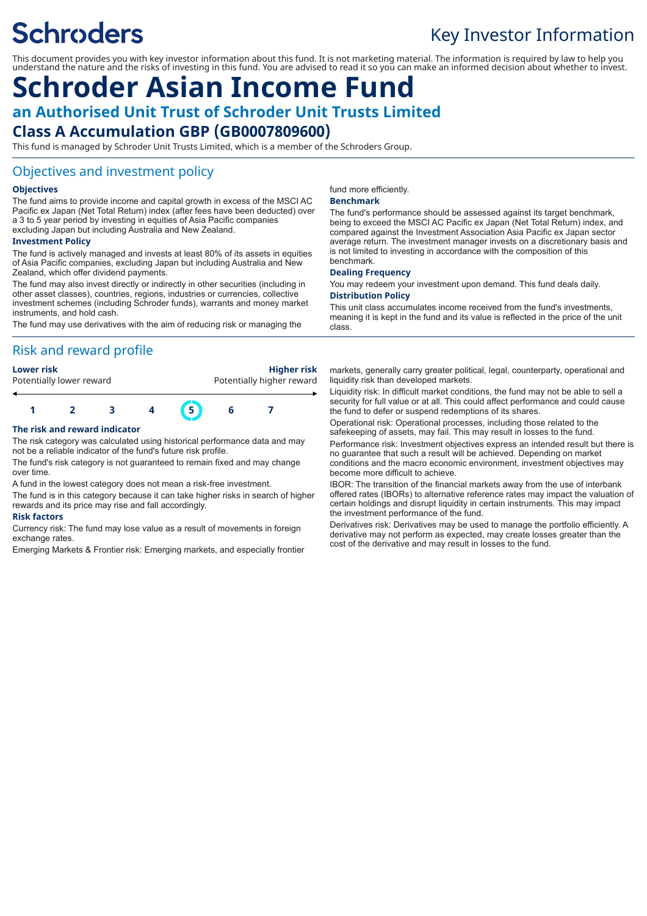# **Schroders**

## Key Investor Information

This document provides you with key investor information about this fund. It is not marketing material. The information is required by law to help you understand the nature and the risks of investing in this fund. You are advised to read it so you can make an informed decision about whether to invest.

### **Schroder Asian Income Fund an Authorised Unit Trust of Schroder Unit Trusts Limited Class A Accumulation GBP (GB0007809600)**

This fund is managed by Schroder Unit Trusts Limited, which is a member of the Schroders Group.

#### Objectives and investment policy

#### **Objectives**

The fund aims to provide income and capital growth in excess of the MSCI AC Pacific ex Japan (Net Total Return) index (after fees have been deducted) over a 3 to 5 year period by investing in equities of Asia Pacific companies excluding Japan but including Australia and New Zealand.

#### **Investment Policy**

The fund is actively managed and invests at least 80% of its assets in equities of Asia Pacific companies, excluding Japan but including Australia and New Zealand, which offer dividend payments.

The fund may also invest directly or indirectly in other securities (including in other asset classes), countries, regions, industries or currencies, collective investment schemes (including Schroder funds), warrants and money market instruments, and hold cash.

The fund may use derivatives with the aim of reducing risk or managing the

### Risk and reward profile

**Lower risk Higher risk** Potentially lower reward **Potentially higher reward** 



#### **The risk and reward indicator**

The risk category was calculated using historical performance data and may not be a reliable indicator of the fund's future risk profile.

The fund's risk category is not guaranteed to remain fixed and may change over time.

A fund in the lowest category does not mean a risk-free investment.

The fund is in this category because it can take higher risks in search of higher rewards and its price may rise and fall accordingly.

#### **Risk factors**

Currency risk: The fund may lose value as a result of movements in foreign exchange rates.

Emerging Markets & Frontier risk: Emerging markets, and especially frontier

fund more efficiently.

#### **Benchmark**

The fund's performance should be assessed against its target benchmark, being to exceed the MSCI AC Pacific ex Japan (Net Total Return) index, and compared against the Investment Association Asia Pacific ex Japan sector average return. The investment manager invests on a discretionary basis and is not limited to investing in accordance with the composition of this benchmark.

#### **Dealing Frequency**

You may redeem your investment upon demand. This fund deals daily. **Distribution Policy**

This unit class accumulates income received from the fund's investments, meaning it is kept in the fund and its value is reflected in the price of the unit class.

markets, generally carry greater political, legal, counterparty, operational and liquidity risk than developed markets.

Liquidity risk: In difficult market conditions, the fund may not be able to sell a security for full value or at all. This could affect performance and could cause the fund to defer or suspend redemptions of its shares.

Operational risk: Operational processes, including those related to the safekeeping of assets, may fail. This may result in losses to the fund.

Performance risk: Investment objectives express an intended result but there is no guarantee that such a result will be achieved. Depending on market conditions and the macro economic environment, investment objectives may become more difficult to achieve.

IBOR: The transition of the financial markets away from the use of interbank offered rates (IBORs) to alternative reference rates may impact the valuation of certain holdings and disrupt liquidity in certain instruments. This may impact the investment performance of the fund.

Derivatives risk: Derivatives may be used to manage the portfolio efficiently. A derivative may not perform as expected, may create losses greater than the cost of the derivative and may result in losses to the fund.